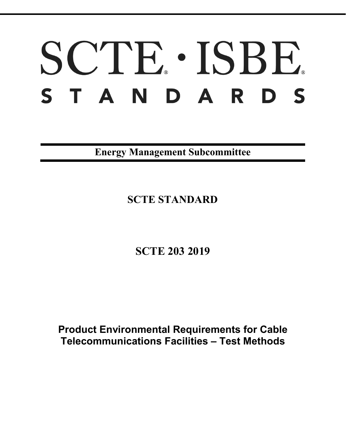# SCTE · ISBE. S T A N D A R D S

**Energy Management Subcommittee**

**SCTE STANDARD**

**SCTE 203 2019**

**Product Environmental Requirements for Cable Telecommunications Facilities – Test Methods**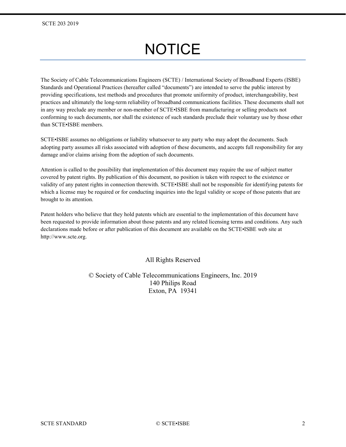# **NOTICE**

The Society of Cable Telecommunications Engineers (SCTE) / International Society of Broadband Experts (ISBE) Standards and Operational Practices (hereafter called "documents") are intended to serve the public interest by providing specifications, test methods and procedures that promote uniformity of product, interchangeability, best practices and ultimately the long-term reliability of broadband communications facilities. These documents shall not in any way preclude any member or non-member of SCTE•ISBE from manufacturing or selling products not conforming to such documents, nor shall the existence of such standards preclude their voluntary use by those other than SCTE•ISBE members.

SCTE•ISBE assumes no obligations or liability whatsoever to any party who may adopt the documents. Such adopting party assumes all risks associated with adoption of these documents, and accepts full responsibility for any damage and/or claims arising from the adoption of such documents.

Attention is called to the possibility that implementation of this document may require the use of subject matter covered by patent rights. By publication of this document, no position is taken with respect to the existence or validity of any patent rights in connection therewith. SCTE•ISBE shall not be responsible for identifying patents for which a license may be required or for conducting inquiries into the legal validity or scope of those patents that are brought to its attention.

Patent holders who believe that they hold patents which are essential to the implementation of this document have been requested to provide information about those patents and any related licensing terms and conditions. Any such declarations made before or after publication of this document are available on the SCTE•ISBE web site at http://www.scte.org.

# All Rights Reserved

© Society of Cable Telecommunications Engineers, Inc. 2019 140 Philips Road Exton, PA 19341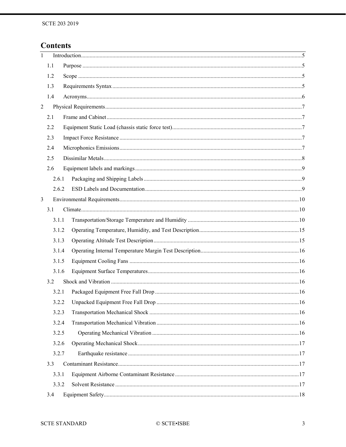# **Contents**

| $\mathbf{1}$   |       |  |
|----------------|-------|--|
|                | 1.1   |  |
|                | 1.2   |  |
|                | 1.3   |  |
|                | 1.4   |  |
| $\overline{2}$ |       |  |
|                | 2.1   |  |
|                | 2.2   |  |
|                | 2.3   |  |
| 2.4            |       |  |
|                | 2.5   |  |
|                | 2.6   |  |
|                | 2.6.1 |  |
|                | 2.6.2 |  |
| $\overline{3}$ |       |  |
|                | 3.1   |  |
|                | 3.1.1 |  |
|                | 3.1.2 |  |
|                | 3.1.3 |  |
|                | 3.1.4 |  |
|                | 3.1.5 |  |
|                | 3.1.6 |  |
|                | 3.2   |  |
|                | 3.2.1 |  |
|                | 3.2.2 |  |
|                | 3.2.3 |  |
|                | 3.2.4 |  |
|                | 3.2.5 |  |
|                | 3.2.6 |  |
|                | 3.2.7 |  |
|                | 3.3   |  |
|                | 3.3.1 |  |
|                | 3.3.2 |  |
|                | 3.4   |  |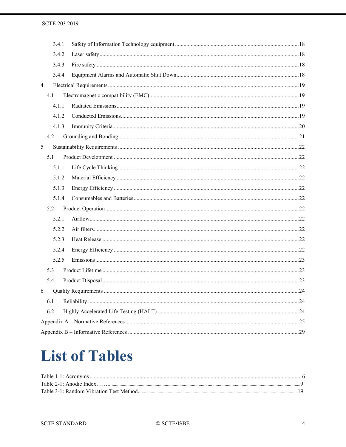| 3.4.1          |     |
|----------------|-----|
| 3.4.2          |     |
| 3.4.3          |     |
| 3.4.4          |     |
| $\overline{4}$ |     |
| 4.1            |     |
| 4.1.1          |     |
| 4.1.2          |     |
| 4.1.3          |     |
| 4.2            |     |
| 5              |     |
| 5.1            |     |
| 5.1.1          |     |
| 5.1.2          |     |
| 5.1.3          |     |
| 5.1.4          |     |
| 5.2            |     |
| 5.2.1          |     |
| 5.2.2          |     |
| 5.2.3          |     |
| 5.2.4          |     |
| 5.2.5          |     |
| 5.3            |     |
| 5.4            |     |
| 6              | .24 |
| 6.1            |     |
| 6.2            |     |
|                |     |
|                |     |

# **List of Tables**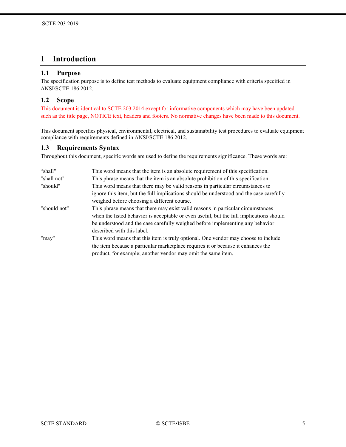# <span id="page-4-0"></span>**1 Introduction**

# <span id="page-4-1"></span>**1.1 Purpose**

The specification purpose is to define test methods to evaluate equipment compliance with criteria specified in ANSI/SCTE 186 2012.

# <span id="page-4-2"></span>**1.2 Scope**

This document is identical to SCTE 203 2014 except for informative components which may have been updated such as the title page, NOTICE text, headers and footers. No normative changes have been made to this document.

This document specifies physical, environmental, electrical, and sustainability test procedures to evaluate equipment compliance with requirements defined in ANSI/SCTE 186 2012.

# <span id="page-4-3"></span>**1.3 Requirements Syntax**

Throughout this document, specific words are used to define the requirements significance. These words are:

| This word means that the item is an absolute requirement of this specification.         |
|-----------------------------------------------------------------------------------------|
| This phrase means that the item is an absolute prohibition of this specification.       |
| This word means that there may be valid reasons in particular circumstances to          |
| ignore this item, but the full implications should be understood and the case carefully |
| weighed before choosing a different course.                                             |
| This phrase means that there may exist valid reasons in particular circumstances        |
| when the listed behavior is acceptable or even useful, but the full implications should |
| be understood and the case carefully weighed before implementing any behavior           |
| described with this label.                                                              |
| This word means that this item is truly optional. One vendor may choose to include      |
| the item because a particular market place requires it or because it enhances the       |
| product, for example; another vendor may omit the same item.                            |
|                                                                                         |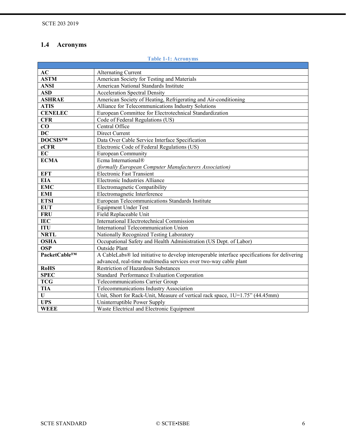# <span id="page-5-0"></span>**1.4 Acronyms**

# **Table 1-1: Acronyms**

<span id="page-5-1"></span>

| AC                      | Alternating Current                                                                          |
|-------------------------|----------------------------------------------------------------------------------------------|
| <b>ASTM</b>             | American Society for Testing and Materials                                                   |
| <b>ANSI</b>             | American National Standards Institute                                                        |
| <b>ASD</b>              | <b>Acceleration Spectral Density</b>                                                         |
| <b>ASHRAE</b>           | American Society of Heating, Refrigerating and Air-conditioning                              |
| <b>ATIS</b>             | Alliance for Telecommunications Industry Solutions                                           |
| <b>CENELEC</b>          | European Committee for Electrotechnical Standardization                                      |
| <b>CFR</b>              | Code of Federal Regulations (US)                                                             |
| $\overline{\textbf{C}}$ | Central Office                                                                               |
| $\overline{DC}$         | Direct Current                                                                               |
| <b>DOCSISTM</b>         | Data Over Cable Service Interface Specification                                              |
| eCFR                    | Electronic Code of Federal Regulations (US)                                                  |
| <b>EC</b>               | <b>European Community</b>                                                                    |
| <b>ECMA</b>             | Ecma International®                                                                          |
|                         | (formally European Computer Manufacturers Association)                                       |
| <b>EFT</b>              | <b>Electronic Fast Transient</b>                                                             |
| <b>EIA</b>              | <b>Electronic Industries Alliance</b>                                                        |
| <b>EMC</b>              | Electromagnetic Compatibility                                                                |
| <b>EMI</b>              | Electromagnetic Interference                                                                 |
| <b>ETSI</b>             | European Telecommunications Standards Institute                                              |
| <b>EUT</b>              | Equipment Under Test                                                                         |
| <b>FRU</b>              | Field Replaceable Unit                                                                       |
| <b>IEC</b>              | International Electrotechnical Commission                                                    |
| <b>ITU</b>              | International Telecommunication Union                                                        |
| <b>NRTL</b>             | Nationally Recognized Testing Laboratory                                                     |
| <b>OSHA</b>             | Occupational Safety and Health Administration (US Dept. of Labor)                            |
| <b>OSP</b>              | <b>Outside Plant</b>                                                                         |
| PacketCable™            | A CableLabs® led initiative to develop interoperable interface specifications for delivering |
|                         | advanced, real-time multimedia services over two-way cable plant                             |
| <b>RoHS</b>             | <b>Restriction of Hazardous Substances</b>                                                   |
| <b>SPEC</b>             | Standard Performance Evaluation Corporation                                                  |
| <b>TCG</b>              | Telecommunications Carrier Group                                                             |
| <b>TIA</b>              | Telecommunications Industry Association                                                      |
| $\mathbf U$             | Unit, Short for Rack-Unit, Measure of vertical rack space, 1U=1.75" (44.45mm)                |
| <b>UPS</b>              | Uninterruptible Power Supply                                                                 |
| <b>WEEE</b>             | Waste Electrical and Electronic Equipment                                                    |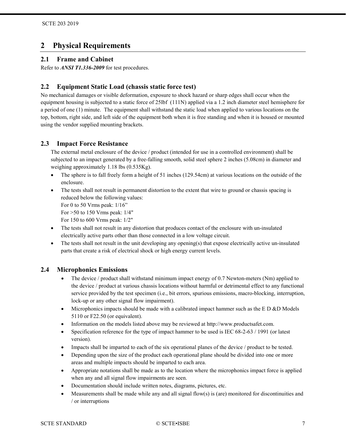# <span id="page-6-0"></span>**2 Physical Requirements**

# <span id="page-6-1"></span>**2.1 Frame and Cabinet**

Refer to *ANSI T1.336-2009* for test procedures.

# <span id="page-6-2"></span>**2.2 Equipment Static Load (chassis static force test)**

No mechanical damages or visible deformation, exposure to shock hazard or sharp edges shall occur when the equipment housing is subjected to a static force of 25lbf (111N) applied via a 1.2 inch diameter steel hemisphere for a period of one (1) minute. The equipment shall withstand the static load when applied to various locations on the top, bottom, right side, and left side of the equipment both when it is free standing and when it is housed or mounted using the vendor supplied mounting brackets.

# <span id="page-6-3"></span>**2.3 Impact Force Resistance**

The external metal enclosure of the device / product (intended for use in a controlled environment) shall be subjected to an impact generated by a free-falling smooth, solid steel sphere 2 inches (5.08cm) in diameter and weighing approximately 1.18 lbs (0.535Kg).

- The sphere is to fall freely form a height of 51 inches (129.54cm) at various locations on the outside of the enclosure.
- The tests shall not result in permanent distortion to the extent that wire to ground or chassis spacing is reduced below the following values:

For 0 to 50 Vrms peak: 1/16"

For >50 to 150 Vrms peak: 1/4"

For 150 to 600 Vrms peak: 1/2"

- The tests shall not result in any distortion that produces contact of the enclosure with un-insulated electrically active parts other than those connected in a low voltage circuit.
- The tests shall not result in the unit developing any opening(s) that expose electrically active un-insulated parts that create a risk of electrical shock or high energy current levels.

# <span id="page-6-4"></span>**2.4 Microphonics Emissions**

- The device / product shall withstand minimum impact energy of 0.7 Newton-meters (Nm) applied to the device / product at various chassis locations without harmful or detrimental effect to any functional service provided by the test specimen (i.e., bit errors, spurious emissions, macro-blocking, interruption, lock-up or any other signal flow impairment).
- Microphonics impacts should be made with a calibrated impact hammer such as the E D &D Models 5110 or F22.50 (or equivalent).
- Information on the models listed above may be reviewed at http://www.productsafet.com.
- Specification reference for the type of impact hammer to be used is IEC 68-2-63 / 1991 (or latest version).
- Impacts shall be imparted to each of the six operational planes of the device / product to be tested.
- Depending upon the size of the product each operational plane should be divided into one or more areas and multiple impacts should be imparted to each area.
- Appropriate notations shall be made as to the location where the microphonics impact force is applied when any and all signal flow impairments are seen.
- Documentation should include written notes, diagrams, pictures, etc.
- Measurements shall be made while any and all signal flow(s) is (are) monitored for discontinuities and / or interruptions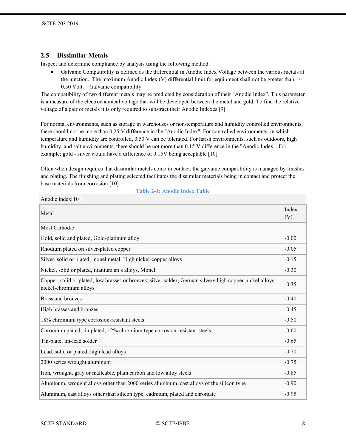<span id="page-7-1"></span>Anodic inde[x\[10\]](http://en.wikipedia.org/wiki/Galvanic_corrosion#cite_note-pierre-10)

# <span id="page-7-0"></span>**2.5 Dissimilar Metals**

Inspect and determine compliance by analysis using the following method:

• Galvanic Compatibility is defined as the differential in Anodic Index Voltage between the various metals at the junction. The maximum Anodic Index (V) differential limit for equipment shall not be greater than +/- 0.50 Volt. Galvanic compatibility

The compatibility of two different metals may be predicted by consideration of their "Anodic Index". This parameter is a measure of the electrochemical voltage that will be developed between the metal and gold. To find the relative voltage of a pair of metals it is only required to substract their Anodic Indexes[.\[9\]](http://en.wikipedia.org/wiki/Galvanic_corrosion#cite_note-9)

For normal environments, such as storage in warehouses or non-temperature and humidity controlled environments, there should not be more than 0.25 V difference in the "Anodic Index". For controlled environments, in which temperature and humidity are controlled, 0.50 V can be tolerated. For harsh environments, such as outdoors, high humidity, and salt environments, there should be not more than 0.15 V difference in the "Anodic Index". For example; gold - silver would have a difference of 0.15V being acceptable [\[10\]](http://en.wikipedia.org/wiki/Galvanic_corrosion#cite_note-pierre-10)

Often when design requires that dissimilar metals come in contact, the galvanic compatibility is managed by finishes and plating. The finishing and plating selected facilitates the dissimilar materials being in contact and protect the base materials from corrosio[n.\[10\]](http://en.wikipedia.org/wiki/Galvanic_corrosion#cite_note-pierre-10)

| $\mu$ mount much $\mu$                                                                                                              |              |
|-------------------------------------------------------------------------------------------------------------------------------------|--------------|
| Metal                                                                                                                               | Index<br>(V) |
| Most Cathodic                                                                                                                       |              |
| Gold, solid and plated, Gold-platinum alloy                                                                                         | $-0.00$      |
| Rhodium plated on silver-plated copper                                                                                              | $-0.05$      |
| Silver, solid or plated; monel metal. High nickel-copper alloys                                                                     | $-0.15$      |
| Nickel, solid or plated, titanium an s alloys, Monel                                                                                | $-0.30$      |
| Copper, solid or plated; low brasses or bronzes; silver solder; German silvery high copper-nickel alloys;<br>nickel-chromium alloys | $-0.35$      |
| Brass and bronzes                                                                                                                   | $-0.40$      |
| High brasses and bronzes                                                                                                            | $-0.45$      |
| 18% chromium type corrosion-resistant steels                                                                                        | $-0.50$      |
| Chromium plated; tin plated; 12% chromium type corrosion-resistant steels                                                           | $-0.60$      |
| Tin-plate; tin-lead solder                                                                                                          | $-0.65$      |
| Lead, solid or plated; high lead alloys                                                                                             | $-0.70$      |
| 2000 series wrought aluminum                                                                                                        |              |
| Iron, wrought, gray or malleable, plain carbon and low alloy steels                                                                 | $-0.85$      |
| Aluminum, wrought alloys other than 2000 series aluminum, cast alloys of the silicon type                                           | $-0.90$      |
| Aluminum, cast alloys other than silicon type, cadmium, plated and chromate                                                         |              |

#### **Table 2-1: Anodic Index Table**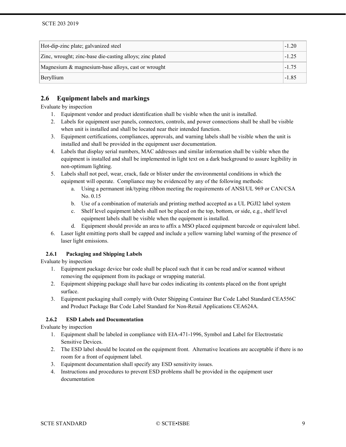| Hot-dip-zinc plate; galvanized steel                          |         |
|---------------------------------------------------------------|---------|
| Zinc, wrought; zinc-base die-casting alloys; zinc plated      | $-1.25$ |
| Magnesium & magnesium-base alloys, cast or wrought<br>$-1.75$ |         |
| Beryllium                                                     | $-1.85$ |

# <span id="page-8-0"></span>**2.6 Equipment labels and markings**

Evaluate by inspection

- 1. Equipment vendor and product identification shall be visible when the unit is installed.
- 2. Labels for equipment user panels, connectors, controls, and power connections shall be shall be visible when unit is installed and shall be located near their intended function.
- 3. Equipment certifications, compliances, approvals, and warning labels shall be visible when the unit is installed and shall be provided in the equipment user documentation.
- 4. Labels that display serial numbers, MAC addresses and similar information shall be visible when the equipment is installed and shall be implemented in light text on a dark background to assure legibility in non-optimum lighting.
- 5. Labels shall not peel, wear, crack, fade or blister under the environmental conditions in which the equipment will operate. Compliance may be evidenced by any of the following methods:
	- a. Using a permanent ink/typing ribbon meeting the requirements of ANSI/UL 969 or CAN/CSA No. 0.15
	- b. Use of a combination of materials and printing method accepted as a UL PGJI2 label system
	- c. Shelf level equipment labels shall not be placed on the top, bottom, or side, e.g., shelf level equipment labels shall be visible when the equipment is installed.
	- d. Equipment should provide an area to affix a MSO placed equipment barcode or equivalent label.
- 6. Laser light emitting ports shall be capped and include a yellow warning label warning of the presence of laser light emissions.

# <span id="page-8-1"></span>**2.6.1 Packaging and Shipping Labels**

Evaluate by inspection

- 1. Equipment package device bar code shall be placed such that it can be read and/or scanned without removing the equipment from its package or wrapping material.
- 2. Equipment shipping package shall have bar codes indicating its contents placed on the front upright surface.
- 3. Equipment packaging shall comply with Outer Shipping Container Bar Code Label Standard CEA556C and Product Package Bar Code Label Standard for Non-Retail Applications CEA624A.

# <span id="page-8-2"></span>**2.6.2 ESD Labels and Documentation**

Evaluate by inspection

- 1. Equipment shall be labeled in compliance with EIA-471-1996, Symbol and Label for Electrostatic Sensitive Devices.
- 2. The ESD label should be located on the equipment front. Alternative locations are acceptable if there is no room for a front of equipment label.
- 3. Equipment documentation shall specify any ESD sensitivity issues.
- 4. Instructions and procedures to prevent ESD problems shall be provided in the equipment user documentation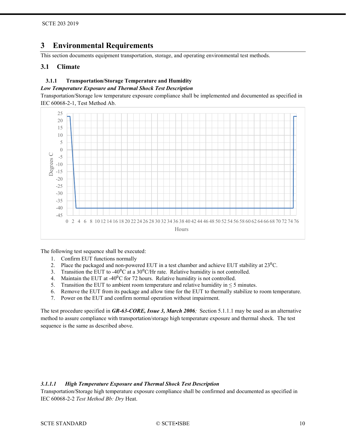# <span id="page-9-0"></span>**3 Environmental Requirements**

This section documents equipment transportation, storage, and operating environmental test methods.

# <span id="page-9-1"></span>**3.1 Climate**

# <span id="page-9-2"></span>**3.1.1 Transportation/Storage Temperature and Humidity**

# *Low Temperature Exposure and Thermal Shock Test Description*

Transportation/Storage low temperature exposure compliance shall be implemented and documented as specified in IEC 60068-2-1, Test Method Ab.



The following test sequence shall be executed:

- 1. Confirm EUT functions normally
- 2. Place the packaged and non-powered EUT in a test chamber and achieve EUT stability at  $23^{\circ}$ C.
- 3. Transition the EUT to -40 $^0C$  at a 30 $^0C/Hr$  rate. Relative humidity is not controlled.
- 4. Maintain the EUT at  $-40\degree$ C for 72 hours. Relative humidity is not controlled.
- 5. Transition the EUT to ambient room temperature and relative humidity in  $\leq$  5 minutes.
- 6. Remove the EUT from its package and allow time for the EUT to thermally stabilize to room temperature.
- 7. Power on the EUT and confirm normal operation without impairment.

The test procedure specified in *[GR-63-CORE, Issue 3, March 2006](#page-28-1);* Section 5.1.1.1 may be used as an alternative method to assure compliance with transportation/storage high temperature exposure and thermal shock. The test sequence is the same as described above.

# *3.1.1.1 High Temperature Exposure and Thermal Shock Test Description*

Transportation/Storage high temperature exposure compliance shall be confirmed and documented as specified in IEC 60068-2-2 *Test Method Bb: Dry* Heat.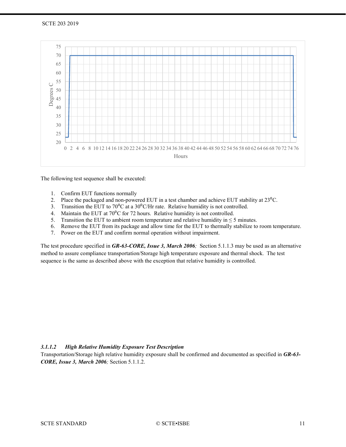

The following test sequence shall be executed:

- 1. Confirm EUT functions normally
- 2. Place the packaged and non-powered EUT in a test chamber and achieve EUT stability at  $23^{\circ}$ C.
- 3. Transition the EUT to  $70\textdegree C$  at a  $30\textdegree C/Hr$  rate. Relative humidity is not controlled.
- 4. Maintain the EUT at  $70^{\circ}$ C for 72 hours. Relative humidity is not controlled.
- 5. Transition the EUT to ambient room temperature and relative humidity in  $\leq$  5 minutes.
- 6. Remove the EUT from its package and allow time for the EUT to thermally stabilize to room temperature.
- 7. Power on the EUT and confirm normal operation without impairment.

The test procedure specified in *[GR-63-CORE, Issue 3, March 2006](#page-28-1);* Section 5.1.1.3 may be used as an alternative method to assure compliance transportation/Storage high temperature exposure and thermal shock. The test sequence is the same as described above with the exception that relative humidity is controlled.

#### *3.1.1.2 High Relative Humidity Exposure Test Description*

Transportation/Storage high relative humidity exposure shall be confirmed and documented as specified in *[GR-63-](#page-28-1) [CORE, Issue 3, March 2006](#page-28-1);* Section 5.1.1.2.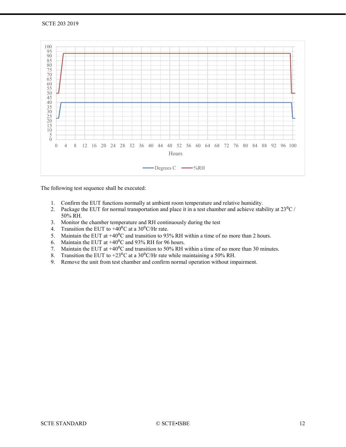

The following test sequence shall be executed:

- 1. Confirm the EUT functions normally at ambient room temperature and relative humidity.
- 2. Package the EUT for normal transportation and place it in a test chamber and achieve stability at  $23\text{°C}$  / 50% RH.
- 3. Monitor the chamber temperature and RH continuously during the test
- 4. Transition the EUT to  $+40^{\circ}$ C at a 30<sup>°</sup>C/Hr rate.
- 5. Maintain the EUT at  $+40^{\circ}$ C and transition to 93% RH within a time of no more than 2 hours.
- 6. Maintain the EUT at  $+40^{\circ}$ C and 93% RH for 96 hours.
- 7. Maintain the EUT at  $+40^{\circ}$ C and transition to 50% RH within a time of no more than 30 minutes.
- 8. Transition the EUT to +23<sup>o</sup>C at a 30<sup>o</sup>C/Hr rate while maintaining a 50% RH.
- 9. Remove the unit from test chamber and confirm normal operation without impairment.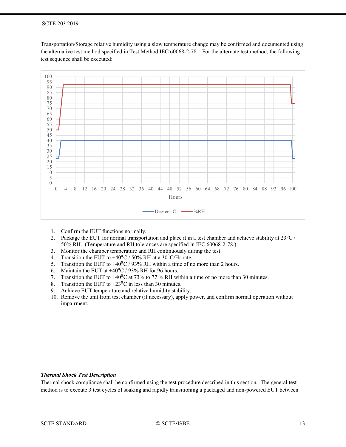#### SCTE 203 2019

Transportation/Storage relative humidity using a slow temperature change may be confirmed and documented using the alternative test method specified in Test Method IEC 60068-2-78. For the alternate test method, the following test sequence shall be executed:



- 1. Confirm the EUT functions normally.
- 2. Package the EUT for normal transportation and place it in a test chamber and achieve stability at  $23^{\circ}$ C / 50% RH. (Temperature and RH tolerances are specified in IEC 60068-2-78.).
- 3. Monitor the chamber temperature and RH continuously during the test
- 4. Transition the EUT to  $+40^{\circ}$ C / 50% RH at a 30<sup>o</sup>C/Hr rate.
- 5. Transition the EUT to  $+40^{\circ}$ C / 93% RH within a time of no more than 2 hours.
- 6. Maintain the EUT at  $+40^{\circ}$ C / 93% RH for 96 hours.
- 7. Transition the EUT to  $+40^{\circ}$ C at 73% to 77 % RH within a time of no more than 30 minutes.
- 8. Transition the EUT to  $+23\degree$ C in less than 30 minutes.
- 9. Achieve EUT temperature and relative humidity stability.
- 10. Remove the unit from test chamber (if necessary), apply power, and confirm normal operation without impairment.

#### *Thermal Shock Test Description*

Thermal shock compliance shall be confirmed using the test procedure described in this section*.* The general test method is to execute 3 test cycles of soaking and rapidly transitioning a packaged and non-powered EUT between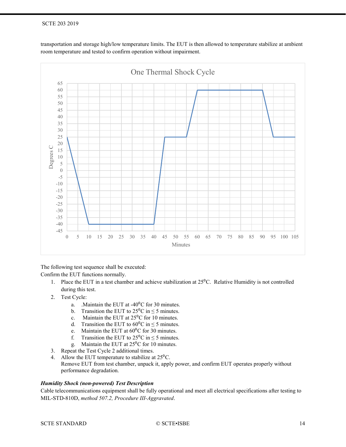

transportation and storage high/low temperature limits. The EUT is then allowed to temperature stabilize at ambient room temperature and tested to confirm operation without impairment.

The following test sequence shall be executed:

Confirm the EUT functions normally.

- 1. Place the EUT in a test chamber and achieve stabilization at  $25^{\circ}$ C. Relative Humidity is not controlled during this test.
- 2. Test Cycle:
	- a. .Maintain the EUT at -40 $^0$ C for 30 minutes.
	- b. Transition the EUT to  $25^{\circ}$ C in  $\leq$  5 minutes.
	- c. Maintain the EUT at  $25^{\circ}$ C for 10 minutes.
	- d. Transition the EUT to  $60^{\circ}$ C in  $\leq$  5 minutes.<br>e. Maintain the EUT at  $60^{\circ}$ C for 30 minutes.
	- Maintain the EUT at  $60^{\circ}$ C for 30 minutes.
	-
	- f. Transition the EUT to  $25^{\circ}$ C in  $\leq$  5 minutes.<br>g. Maintain the EUT at  $25^{\circ}$ C for 10 minutes. Maintain the EUT at  $25^{\circ}$ C for 10 minutes.
- 3. Repeat the Test Cycle 2 additional times.
- 4. Allow the EUT temperature to stabilize at  $25^{\circ}$ C. Remove EUT from test chamber, unpack it, apply power, and confirm EUT operates properly without performance degradation.

# *Humidity Shock (non-powered) Test Description*

Cable telecommunications equipment shall be fully operational and meet all electrical specifications after testing to MIL-STD-810D, *method 507.2, Procedure III-Aggravated*.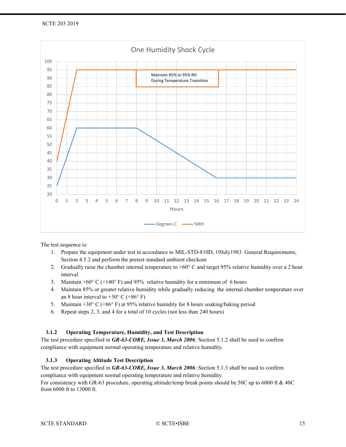

The test sequence is:

- 1. Prepare the equipment under test in accordance to MIL-STD-810D, 19July1983 General Requirements, Section 4.5.2 and perform the pretest standard ambient checkout
- 2. Gradually raise the chamber internal temperature to  $+60^{\circ}$  C and target 95% relative humidity over a 2 hour interval
- 3. Maintain +60 $\degree$  C (+140 $\degree$  F) and 95% relative humidity for a minimum of 6 hours
- 4. Maintain 85% or greater relative humidity while gradually reducing the internal chamber temperature over an 8 hour interval to  $+30^{\circ}$  C ( $+86^{\circ}$  F)
- 5. Maintain  $+30^{\circ}$  C ( $+86^{\circ}$  F) at 95% relative humidity for 8 hours soaking/baking period
- 6. Repeat steps 2, 3, and 4 for a total of 10 cycles (not less than 240 hours)

# <span id="page-14-0"></span>**3.1.2 Operating Temperature, Humidity, and Test Description**

The test procedure specified in *[GR-63-CORE, Issue 3, March 2006](#page-28-1);* Section 5.1.2 shall be used to confirm compliance with equipment normal operating temperature and relative humidity.

# <span id="page-14-1"></span>**3.1.3 Operating Altitude Test Description**

The test procedure specified in *[GR-63-CORE, Issue 3, March 2006](#page-28-1);* Section 5.1.3 shall be used to confirm compliance with equipment normal operating temperature and relative humidity.

For consistency with GR-63 procedure, operating altitude/temp break points should be 50C up to 6000 ft & 40C from 6000 ft to 13000 ft.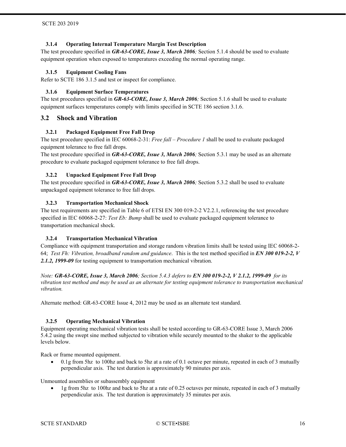# <span id="page-15-0"></span>**3.1.4 Operating Internal Temperature Margin Test Description**

The test procedure specified in *[GR-63-CORE, Issue 3, March 2006](#page-28-1);* Section 5.1.4 should be used to evaluate equipment operation when exposed to temperatures exceeding the normal operating range.

# <span id="page-15-1"></span>**3.1.5 Equipment Cooling Fans**

<span id="page-15-2"></span>Refer to SCTE 186 3.1.5 and test or inspect for compliance.

# **3.1.6 Equipment Surface Temperatures**

The test procedures specified in *[GR-63-CORE, Issue 3, March 2006](#page-28-1);* Section 5.1.6 shall be used to evaluate equipment surfaces temperatures comply with limits specified in SCTE 186 section 3.1.6.

# <span id="page-15-3"></span>**3.2 Shock and Vibration**

# <span id="page-15-4"></span>**3.2.1 Packaged Equipment Free Fall Drop**

The test procedure specified in IEC 60068-2-31: *Free fall – Procedure 1* shall be used to evaluate packaged equipment tolerance to free fall drops.

The test procedure specified in *[GR-63-CORE, Issue 3, March 2006](#page-28-1)*; Section 5.3.1 may be used as an alternate procedure to evaluate packaged equipment tolerance to free fall drops.

# <span id="page-15-5"></span>**3.2.2 Unpacked Equipment Free Fall Drop**

The test procedure specified in *[GR-63-CORE, Issue 3, March 2006](#page-28-1)*; Section 5.3.2 shall be used to evaluate unpackaged equipment tolerance to free fall drops.

# <span id="page-15-6"></span>**3.2.3 Transportation Mechanical Shock**

The test requirements are specified in Table 6 of ETSI EN 300 019-2-2 V2.2.1, referencing the test procedure specified in IEC 60068-2-27: *Test Eb: Bump* shall be used to evaluate packaged equipment tolerance to transportation mechanical shock.

# <span id="page-15-7"></span>**3.2.4 Transportation Mechanical Vibration**

Compliance with equipment transportation and storage random vibration limits shall be tested using IEC 60068-2- 64; *Test Fh: Vibration, broadband random and guidance*. This is the test method specified in *[EN 300 019-2-2, V](#page-26-0)  [2.1.2, 1999-09](#page-26-0)* for testing equipment to transportation mechanical vibration.

*Note: [GR-63-CORE, Issue 3, March 2006](#page-28-1); Section 5.4.3 defers to [EN 300 019-2-2, V 2.1.2, 1999-09](#page-26-0) for its vibration test method and may be used as an alternate for testing equipment tolerance to transportation mechanical vibration.*

Alternate method: GR-63-CORE Issue 4, 2012 may be used as an alternate test standard.

# <span id="page-15-8"></span>**3.2.5 Operating Mechanical Vibration**

Equipment operating mechanical vibration tests shall be tested according to GR-63-CORE Issue 3, March 2006 5.4.2 using the swept sine method subjected to vibration while securely mounted to the shaker to the applicable levels below.

Rack or frame mounted equipment.

• 0.1g from 5hz to 100hz and back to 5hz at a rate of 0.1 octave per minute, repeated in each of 3 mutually perpendicular axis. The test duration is approximately 90 minutes per axis.

Unmounted assemblies or subassembly equipment

• 1g from 5hz to 100hz and back to 5hz at a rate of 0.25 octaves per minute, repeated in each of 3 mutually perpendicular axis. The test duration is approximately 35 minutes per axis.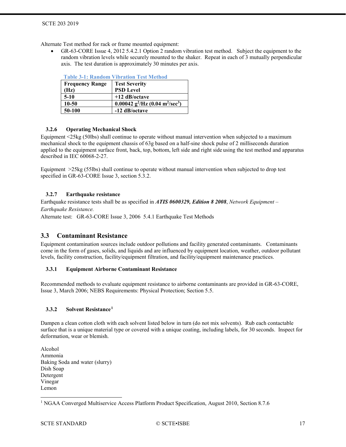Alternate Test method for rack or frame mounted equipment:

• GR-63-CORE Issue 4, 2012 5.4.2.1 Option 2 random vibration test method. Subject the equipment to the random vibration levels while securely mounted to the shaker. Repeat in each of 3 mutually perpendicular axis. The test duration is approximately 30 minutes per axis.

| Table 5-1. INAHUOHI YTDI AUOH TEST MICHIOU |                                                            |  |
|--------------------------------------------|------------------------------------------------------------|--|
| <b>Frequency Range</b>                     | <b>Test Severity</b>                                       |  |
| (Hz)                                       | <b>PSD Level</b>                                           |  |
| $5 - 10$                                   | $+12$ dB/octave                                            |  |
| 10-50                                      | 0.00042 $g^2$ /Hz (0.04 m <sup>2</sup> /sec <sup>3</sup> ) |  |
| 50-100                                     | -12 dB/octave                                              |  |

# <span id="page-16-5"></span> **Table 3-1: Random Vibration Test Method**

#### <span id="page-16-0"></span>**3.2.6 Operating Mechanical Shock**

Equipment <25kg (50lbs) shall continue to operate without manual intervention when subjected to a maximum mechanical shock to the equipment chassis of 63g based on a half-sine shock pulse of 2 milliseconds duration applied to the equipment surface front, back, top, bottom, left side and right side using the test method and apparatus described in IEC 60068-2-27.

Equipment >25kg (55lbs) shall continue to operate without manual intervention when subjected to drop test specified in GR-63-CORE Issue 3, section 5.3.2.

## <span id="page-16-1"></span>**3.2.7 Earthquake resistance**

Earthquake resistance tests shall be as specified in *[ATIS 0600329, Edition](#page-24-1) 8 2008*, *Network Equipment – Earthquake Resistance.*

Alternate test: GR-63-CORE Issue 3, 2006 5.4.1 Earthquake Test Methods

# <span id="page-16-2"></span>**3.3 Contaminant Resistance**

Equipment contamination sources include outdoor pollutions and facility generated contaminants. Contaminants come in the form of gases, solids, and liquids and are influenced by equipment location, weather, outdoor pollutant levels, facility construction, facility/equipment filtration, and facility/equipment maintenance practices.

#### <span id="page-16-3"></span>**3.3.1 Equipment Airborne Contaminant Resistance**

Recommended methods to evaluate equipment resistance to airborne contaminants are provided in GR-63-CORE, Issue 3, March 2006; NEBS Requirements: Physical Protection; Section 5.5.

## <span id="page-16-4"></span>**3.3.2 Solvent Resistance[1](#page-16-6)**

Dampen a clean cotton cloth with each solvent listed below in turn (do not mix solvents). Rub each contactable surface that is a unique material type or covered with a unique coating, including labels, for 30 seconds. Inspect for deformation, wear or blemish.

Alcohol Ammonia Baking Soda and water (slurry) Dish Soap Detergent Vinegar Lemon

<span id="page-16-6"></span> <sup>1</sup> [NGAA Converged Multiservice Access Platform Product Specification, August 2010,](#page-27-0) Section 8.7.6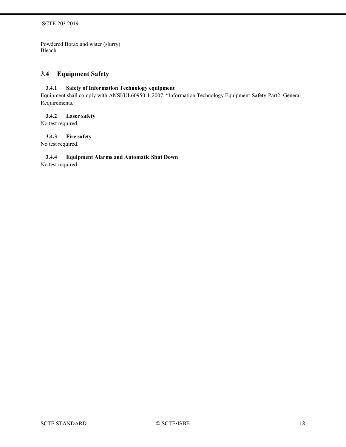Powdered Borax and water (slurry) Bleach

# <span id="page-17-0"></span>**3.4 Equipment Safety**

# <span id="page-17-1"></span>**3.4.1 Safety of Information Technology equipment**

Equipment shall comply with ANSI/UL60950-1-2007, "Information Technology Equipment-Safety-Part2: General Requirements.

# <span id="page-17-2"></span>**3.4.2 Laser safety**

<span id="page-17-3"></span>No test required.

# **3.4.3 Fire safety**

<span id="page-17-4"></span>No test required.

**3.4.4 Equipment Alarms and Automatic Shut Down** 

No test required.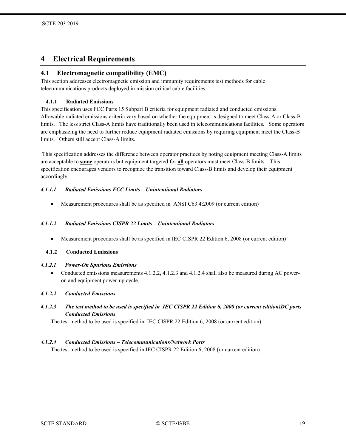# <span id="page-18-0"></span>**4 Electrical Requirements**

# <span id="page-18-1"></span>**4.1 Electromagnetic compatibility (EMC)**

This section addresses electromagnetic emission and immunity requirements test methods for cable telecommunications products deployed in mission critical cable facilities.

# <span id="page-18-2"></span>**4.1.1 Radiated Emissions**

This specification uses FCC Parts 15 Subpart B criteria for equipment radiated and conducted emissions. Allowable radiated emissions criteria vary based on whether the equipment is designed to meet Class-A or Class-B limits. The less strict Class-A limits have traditionally been used in telecommunications facilities. Some operators are emphasizing the need to further reduce equipment radiated emissions by requiring equipment meet the Class-B limits. Others still accept Class-A limits.

This specification addresses the difference between operator practices by noting equipment meeting Class-A limits are acceptable to **some** operators but equipment targeted for **all** operators must meet Class-B limits. This specification encourages vendors to recognize the transition toward Class-B limits and develop their equipment accordingly.

# *4.1.1.1 Radiated Emissions FCC Limits – Unintentional Radiators*

• Measurement procedures shall be as specified in ANSI C63.4:2009 (or current edition)

## *4.1.1.2 Radiated Emissions CISPR 22 Limits – Unintentional Radiators*

• Measurement procedures shall be as specified in IEC CISPR 22 Edition 6, 2008 (or current edition)

# <span id="page-18-3"></span>**4.1.2 Conducted Emissions**

#### *4.1.2.1 Power-On Spurious Emissions*

• Conducted emissions measurements 4.1.2.2, 4.1.2.3 and 4.1.2.4 shall also be measured during AC poweron and equipment power-up cycle.

# *4.1.2.2 Conducted Emissions*

*4.1.2.3 The test method to be used is specified in IEC CISPR 22 Edition 6, 2008 (or current edition)DC ports Conducted Emissions*

The test method to be used is specified in IEC CISPR 22 Edition 6, 2008 (or current edition)

# *4.1.2.4 Conducted Emissions – Telecommunications/Network Ports*

The test method to be used is specified in IEC CISPR 22 Edition 6, 2008 (or current edition)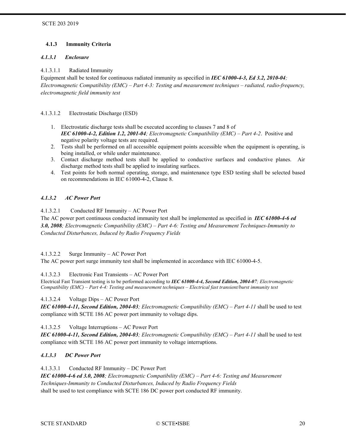# <span id="page-19-0"></span>**4.1.3 Immunity Criteria**

# *4.1.3.1 Enclosure*

4.1.3.1.1 Radiated Immunity

Equipment shall be tested for continuous radiated immunity as specified in *[IEC 61000-4-3, Ed 3.2, 2010-04](#page-26-1); Electromagnetic Compatibility (EMC) – [Part 4-3: Testing and measurement techniques –](#page-26-1) radiated, radio-frequency, [electromagnetic field immunity test](#page-26-1)*

4.1.3.1.2 Electrostatic Discharge (ESD)

- 1. Electrostatic discharge tests shall be executed according to clauses 7 and 8 of *IEC 61000-4-2, Edition 1.2, 2001-04[; Electromagnetic Compatibility \(EMC\) –](#page-26-2) Part 4-2*. Positive and negative polarity voltage tests are required.
- 2. Tests shall be performed on all accessible equipment points accessible when the equipment is operating, is being installed, or while under maintenance.
- 3. Contact discharge method tests shall be applied to conductive surfaces and conductive planes. Air discharge method tests shall be applied to insulating surfaces.
- 4. Test points for both normal operating, storage, and maintenance type ESD testing shall be selected based on recommendations in IEC 61000-4-2, Clause 8.

## *4.1.3.2 AC Power Port*

4.1.3.2.1 Conducted RF Immunity – AC Power Port

The AC power port continuous conducted immunity test shall be implemented as specified in *[IEC 61000-4-6 ed](#page-26-3)  3.0, 2008; Electromagnetic Compatibility (EMC) – [Part 4-6: Testing and Measurement Techniques-Immunity to](#page-26-3)  [Conducted Disturbances, Induced by Radio Frequency Fields](#page-26-3)*

4.1.3.2.2 Surge Immunity – AC Power Port

The AC power port surge immunity test shall be implemented in accordance with IEC 61000-4-5.

4.1.3.2.3 Electronic Fast Transients – AC Power Port

Electrical Fast Transient testing is to be performed according to *IEC 61000-4-4, Second Edition, 2004-07; Electromagnetic Compatibility (EMC) – Part 4-4: Testing and measurement techniques – Electrical fast transient/burst immunity test* 

#### 4.1.3.2.4 Voltage Dips – AC Power Port

*[IEC 61000-4-11, Second Edition, 2004-03](#page-27-1); Electromagnetic Compatibility (EMC) – Part 4-11* shall be used to test compliance with SCTE 186 AC power port immunity to voltage dips.

4.1.3.2.5 Voltage Interruptions – AC Power Port

*[IEC 61000-4-11, Second Edition, 2004-03](#page-27-1); Electromagnetic Compatibility (EMC) – Part 4-11* shall be used to test compliance with SCTE 186 AC power port immunity to voltage interruptions.

# *4.1.3.3 DC Power Port*

4.1.3.3.1 Conducted RF Immunity – DC Power Port

*IEC 61000-4-6 ed 3.0, 2008[; Electromagnetic Compatibility \(EMC\) –](#page-26-3) Part 4-6: Testing and Measurement [Techniques-Immunity to Conducted Disturbances, Induced by Radio Frequency Fields](#page-26-3)* shall be used to test compliance with SCTE 186 DC power port conducted RF immunity.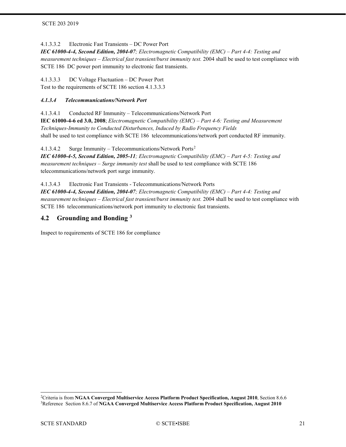#### SCTE 203 2019

# 4.1.3.3.2 Electronic Fast Transients – DC Power Port

*[IEC 61000-4-4, Second Edition, 2004-07](#page-26-4); Electromagnetic Compatibility (EMC) – Part 4-4: Testing and measurement techniques – [Electrical fast transient/burst immunity test.](#page-26-4)* 2004 shall be used to test compliance with SCTE 186 DC power port immunity to electronic fast transients.

4.1.3.3.3 DC Voltage Fluctuation – DC Power Port

Test to the requirements of SCTE 186 section 4.1.3.3.3

# *4.1.3.4 Telecommunications/Network Port*

4.1.3.4.1 Conducted RF Immunity – Telecommunications/Network Port

**IEC 61000-4-6 ed 3.0, 2008**; *[Electromagnetic Compatibility \(EMC\) –](#page-26-3) Part 4-6: Testing and Measurement [Techniques-Immunity to Conducted Disturbances, Induced by Radio Frequency Fields](#page-26-3)* shall be used to test compliance with SCTE 186 telecommunications/network port conducted RF immunity.

4.1.3.4.2 Surge Immunity – Telecommunications/Network Ports[2](#page-20-1)

*[IEC 61000-4-5, Second Edition, 2005-11](#page-26-5); Electromagnetic Compatibility (EMC) – Part 4-5: Testing and [measurement techniques –](#page-26-5) Surge immunity test* shall be used to test compliance with SCTE 186 telecommunications/network port surge immunity.

4.1.3.4.3 Electronic Fast Transients - Telecommunications/Network Ports

*[IEC 61000-4-4, Second Edition, 2004-07](#page-26-4); Electromagnetic Compatibility (EMC) – Part 4-4: Testing and measurement techniques – [Electrical fast transient/burst immunity test.](#page-26-4)* 2004 shall be used to test compliance with SCTE 186 telecommunications/network port immunity to electronic fast transients.

# <span id="page-20-0"></span>**4.2 Grounding and Bonding [3](#page-20-2)**

Inspect to requirements of SCTE 186 for compliance

<span id="page-20-2"></span><span id="page-20-1"></span> <sup>2</sup>Criteria is from **[NGAA Converged Multiservice Access Platform Product Specification, August 2010](#page-27-0)**, Section 8.6.6 3Reference Section 8.6.7 of **[NGAA Converged Multiservice Access Platform Product Specification, August 2010](#page-27-0)**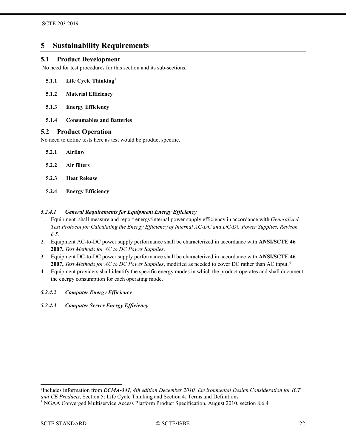# <span id="page-21-0"></span>**5 Sustainability Requirements**

# <span id="page-21-1"></span>**5.1 Product Development**

<span id="page-21-2"></span>No need for test procedures for this section and its sub-sections.

- **5.1.1 Life Cycle Thinking[4](#page-21-11)**
- <span id="page-21-3"></span>**5.1.2 Material Efficiency**
- <span id="page-21-4"></span>**5.1.3 Energy Efficiency**
- <span id="page-21-5"></span>**5.1.4 Consumables and Batteries**

# <span id="page-21-6"></span>**5.2 Product Operation**

<span id="page-21-7"></span>No need to define tests here as test would be product specific.

- **5.2.1 Airflow**
- <span id="page-21-8"></span>**5.2.2 Air filters**
- <span id="page-21-10"></span><span id="page-21-9"></span>**5.2.3 Heat Release**
- **5.2.4 Energy Efficiency**

# *5.2.4.1 General Requirements for Equipment Energy Efficiency*

- 1. Equipment shall measure and report energy/internal power supply efficiency in accordance with *[Generalized](#page-25-0)  [Test Protocol for Calculating the Energy Efficiency of Internal AC-DC and DC-DC Power Supplies, Revison](#page-25-0)  [6.5.](#page-25-0)*
- 2. Equipment AC-to-DC power supply performance shall be characterized in accordance with **[ANSI/SCTE 46](#page-24-2)  2007,** *[Test Methods for AC to DC Power Supplies](#page-24-2)*.
- 3. Equipment DC-to-DC power supply performance shall be characterized in accordance with **[ANSI/SCTE 46](#page-24-2)  2007,** *[Test Methods for AC to DC Power Supplies](#page-24-2)*, modified as needed to cover DC rather than AC input.[5](#page-21-12)
- 4. Equipment providers shall identify the specific energy modes in which the product operates and shall document the energy consumption for each operating mode.

# *5.2.4.2 Computer Energy Efficiency*

# *5.2.4.3 Computer Server Energy Efficiency*

<span id="page-21-11"></span> $\frac{1}{4}$ Includes information from *ECMA-341[, 4th edition December 2010, Environmental Design Consideration for ICT](#page-25-1)  [and CE Products](#page-25-1)*, Section 5: Life Cycle Thinking and Section 4: Terms and Definitions

<span id="page-21-12"></span><sup>5</sup> [NGAA Converged Multiservice Access Platform Product Specification, August 2010,](#page-27-0) section 8.6.4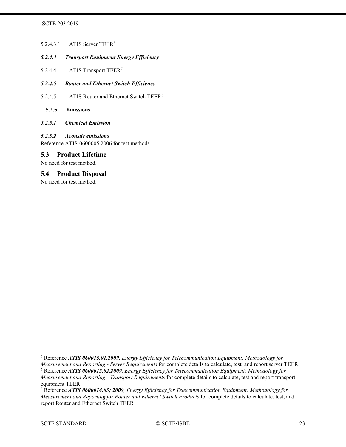#### SCTE 203 2019

- 5.2.4.3.1 ATIS Server TEER<sup>[6](#page-22-3)</sup>
- *5.2.4.4 Transport Equipment Energy Efficiency*
- 5.2.4.4.1 ATIS Transport TEER<sup>[7](#page-22-4)</sup>
- *5.2.4.5 Router and Ethernet Switch Efficiency*
- <span id="page-22-0"></span>5.2.4.5.1 ATIS Router and Ethernet Switch TEER<sup>[8](#page-22-5)</sup>
	- **5.2.5 Emissions**
- *5.2.5.1 Chemical Emission*

#### *5.2.5.2 Acoustic emissions*

Reference ATIS-0600005.2006 for test methods.

# <span id="page-22-1"></span>**5.3 Product Lifetime**

No need for test method.

# <span id="page-22-2"></span>**5.4 Product Disposal**

No need for test method.

<span id="page-22-3"></span> <sup>6</sup> Reference *ATIS 060015.01.2009, Energy Efficiency for [Telecommunication Equipment: Methodology for](#page-24-3)  [Measurement and Reporting -](#page-24-3) Server Requirements* for complete details to calculate, test, and report server TEER.

<span id="page-22-4"></span><sup>7</sup> Reference *ATIS 0600015.02.2009[, Energy Efficiency for Telecommunication Equipment: Methodology for](#page-24-4)  [Measurement and Reporting -](#page-24-4) Transport Requirements* for complete details to calculate, test and report transport

equipment TEER

<span id="page-22-5"></span><sup>8</sup> Reference *ATIS 0600014.03; 2009[, Energy Efficiency for Telecommunication Equipment: Methodology for](#page-24-5)  [Measurement and Reporting for Router and Ethernet Switch Products](#page-24-5)* for complete details to calculate, test, and report Router and Ethernet Switch TEER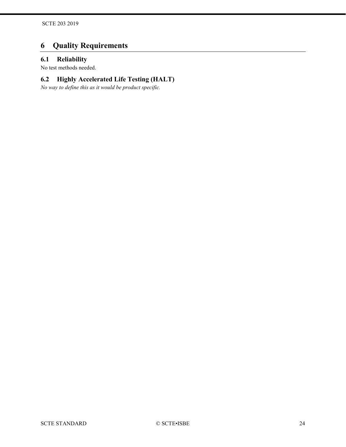# <span id="page-23-0"></span>**6 Quality Requirements**

# <span id="page-23-1"></span>**6.1 Reliability**

No test methods needed.

# <span id="page-23-2"></span>**6.2 Highly Accelerated Life Testing (HALT)**

*No way to define this as it would be product specific.*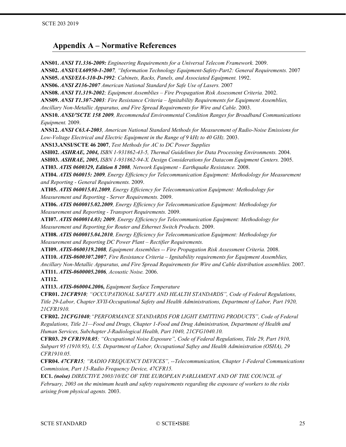# <span id="page-24-0"></span>**Appendix A – Normative References**

<span id="page-24-5"></span><span id="page-24-4"></span><span id="page-24-3"></span><span id="page-24-2"></span><span id="page-24-1"></span>**ANS01.** *ANSI T1.336-2009: Engineering Requirements for a Universal Telecom Framework.* 2009. **ANS02.** *ANSI/UL60950-1-2007, "Information Technology Equipment-Safety-Part2: General Requirements.* 2007 **ANS05.** *ANSI/EIA-310-D-1992: Cabinets, Racks, Panels, and Associated Equipment.* 1992. **ANS06.** *ANSI Z136-2007 American National Standard for Safe Use of Lasers.* 2007 **ANS08.** *ANSI T1.319-2002; Equipment Assemblies – Fire Propagation Risk Assessment Criteria.* 2002. **ANS09.** *ANSI T1.307-2003: Fire Resistance Criteria – Ignitability Requirements for Equipment Assemblies, Ancillary Non-Metallic Apparatus, and Fire Spread Requirements for Wire and Cable.* 2003. **ANS10.** *ANSI/'SCTE 158 2009, Recommended Environmental Condition Ranges for Broadband Communications Equipment.* 2009. **ANS12.** *ANSI C63.4-2003, American National Standard Methods for Measurement of Radio-Noise Emissions for Low-Voltage Electrical and Electric Equipment in the Range of 9 kHz to 40 GHz.* 2003. **ANS13.ANSI/SCTE 46 2007**, *Test Methods for AC to DC Power Supplies* **ASH02.** *ASHRAE, 2004, ISBN 1-931862-43-5, Thermal Guidelines for Data Processing Environments.* 2004. **ASH03.** *ASHRAE, 2005, ISBN 1-931862-94-X. Design Considerations for Datacom Equipment Centers.* 2005. **ATI03.** *ATIS 0600329, Edition 8 2008, Network Equipment - Earthquake Resistance.* 2008. **ATI04.** *ATIS 060015: 2009, Energy Efficiency for Telecommunication Equipment: Methodology for Measurement and Reporting - General Requirements.* 2009. **ATI05.** *ATIS 060015.01.2009, Energy Efficiency for Telecommunication Equipment: Methodology for Measurement and Reporting - Server Requirements.* 2009. **ATI06.** *ATIS 0600015.02.2009, Energy Efficiency for Telecommunication Equipment: Methodology for Measurement and Reporting - Transport Requirements.* 2009. **ATI07.** *ATIS 0600014.03; 2009, Energy Efficiency for Telecommunication Equipment: Methodology for Measurement and Reporting for Router and Ethernet Switch Products.* 2009. **ATI08.** *ATIS 0600015.04.2010, Energy Efficiency for Telecommunication Equipment: Methodology for Measurement and Reporting DC Power Plant – Rectifier Requirements.* **ATI09.** *ATIS-0600319.2008, Equipment Assemblies -- Fire Propagation Risk Assessment Criteria.* 2008. **ATI10.** *ATIS-0600307.2007, Fire Resistance Criteria – Ignitability requirements for Equipment Assemblies, Ancillary Non-Metallic Apparatus, and Fire Spread Requirements for Wire and Cable distribution assemblies.* 2007. **ATI11.** *ATIS-0600005.2006, Acoustic Noise.* 2006. **ATI12. ATI13.** *ATIS-060004.2006, Equipment Surface Temperature* **CFR01.** *21CFR910; "OCCUPATIONAL SAFETY AND HEALTH STANDARDS", Code of Federal Regulations, Title 29-Labor, Chapter XVII-Occupational Safety and Health Administrations, Department of Labor, Part 1920, 21CFR1910.* **CFR02.** *21CFG1040;"PERFORMANCE STANDARDS FOR LIGHT EMITTING PRODUCTS", Code of Federal Regulations, Title 21—Food and Drugs, Chapter 1-Food and Drug Administration, Department of Health and Human Services, Subchapter J-Radiological Health, Part 1040, 21CFG1040.10.* **CFR03.** *29 CFR1910.05; "Occupational Noise Exposure", Code of Federal Regulations, Title 29, Part 1910, Subpart 95 (1910.95), U.S. Department of Labor, Occupational Saftey and Health Administration (OSHA), 29 CFR1910.05.* **CFR04.** *47CFR15; "RADIO FREQUENCY DEVICES", --Telecommunication, Chapter 1-Federal Communications Commission, Part 15-Radio Frequency Device, 47CFR15.*

**EC1.** *(noise) DIRECTIVE 2003/10/EC OF THE EUROPEAN PARLIAMENT AND OF THE COUNCIL of February, 2003 on the minimum heath and safety requirements regarding the exposure of workers to the risks arising from physical agents.* 2003.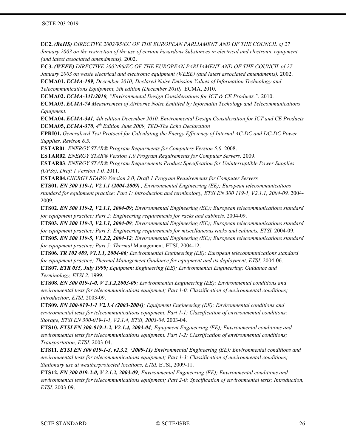#### SCTE 203 2019

**EC2.** *(RoHS) DIRECTIVE 2002/95/EC OF THE EUROPEAN PARLIAMENT AND OF THE COUNCIL of 27 January 2003 on the restriction of the use of certain hazardous Substances in electrical and electronic equipment (and latest associated amendments).* 2002.

**EC3.** *(WEEE) DIRECTIVE 2002/96/EC OF THE EUROPEAN PARLIAMENT AND OF THE COUNCIL of 27 January 2003 on waste electrical and electronic equipment (WEEE) (and latest associated amendments).* 2002.

**ECMA01.** *ECMA-109, December 2010; Declared Noise Emission Values of Information Technology and Telecommunications Equipment, 5th edition (December 2010).* ECMA, 2010.

**ECMA02.** *ECMA-341:2010, "Environmental Design Considerations for ICT & CE Products.".* 2010.

**ECMA03.** *ECMA-74 Measurement of Airborne Noise Emiitted by Informatin Techology and Telecommunications Equipment.*

<span id="page-25-1"></span>**ECMA04.** *ECMA-341, 4th edition December 2010, Environmental Design Consideration for ICT and CE Products* **ECMA05,** *ECMA-370, 4th Edition June 2009, TED-The Echo Declaration*

<span id="page-25-0"></span>**EPRI01.** *Generalized Test Protocol for Calculating the Energy Efficiency of Internal AC-DC and DC-DC Power Supplies, Revison 6.5.*

**ESTAR01**. *ENERGY STAR® Program Requirments for Computers Version 5.0.* 2008.

**ESTAR02**. *ENERGY STAR® Version 1.0 Program Requirements for Computer Servers.* 2009.

**ESTAR03**. *ENERGY STAR® Program Requirements Product Specification for Uninterruptible Power Supplies (UPSs), Draft 1 Version 1.0.* 2011.

**ESTAR04.***ENERGY STAR® Version 2.0, Draft 1 Program Requirements for Computer Servers*

**ETS01.** *EN 300 119-1, V2.1.1 (2004-2009) , Environmental Engineering (EE); European telecommunications standard for equipment practice; Part 1: Introduction and terminology, ETSI EN 300 119-1, V2.1.1, 2004-09.* 2004- 2009.

**ETS02.** *EN 300 119-2, V2.1.1, 2004-09; Environmental Engineering (EE); European telecommunications standard for equipment practice; Part 2: Engineering requirements for racks and cabinets.* 2004-09.

**ETS03.** *EN 300 119-3, V2.1.1, 2004-09; Environmental Engineering (EE); European telecommunications standard for equipment practice; Part 3: Engineering requirements for miscellaneous racks and cabinets, ETSI.* 2004-09.

**ETS05.** *EN 300 119-5, V1.2.2, 2004-12; Environmental Engineering (EE); European telecommunications standard for equipment practice; Part 5: Thermal* Management, ETSI. 2004-12.

**ETS06.** *TR 102 489, V1.1.1, 2004-06; Environmental Engineering (EE); European telecommunications standard for equipment practice; Thermal Management Guidance for equipment and its deployment, ETSI.* 2004-06.

**ETS07.** *ETR 035, July 1999; Equipment Engineering (EE); Environmental Engineering; Guidance and Terminology, ETSI 2.* 1999.

**ETS08.** *EN 300 019-1-0, V 2.1.2,2003-09; Environmental Engineering (EE); Environmental conditions and environmental tests for telecommunications equipment; Part 1-0: Classification of environmental conditions; Introduction, ETSI.* 2003-09.

**ETS09.** *EN 300-019-1-1 V2.1.4 (2003-2004); Equipment Engineering (EE); Environmental conditions and environmental tests for telecommunications equipment, Part 1-1: Classification of environmental conditions; Storage, ETSI EN 300-019-1-1, V2.1.4, ETSI, 2003-04.* 2003-04.

**ETS10.** *ETSI EN 300-019-1-2, V2.1.4, 2003-04; Equipment Engineering (EE); Environmental conditions and environmental tests for telecommunications equipment, Part 1-2: Classification of environmental conditions; Transportation, ETSI.* 2003-04.

**ETS11.** *ETSI EN 300 019-1-3, v2.3.2, (2009-11) Environmental Engineering (EE); Environmental conditions and environmental tests for telecommunications equipment; Part 1-3: Classification of environmental conditions; Stationary use at weatherprotected locations, ETSI.* ETSI, 2009-11.

**ETS12.** *EN 300 019-2-0, V 2.1.2, 2003-09; Environmental Engineering (EE); Environmental conditions and environmental tests for telecommunications equipment; Part 2-0: Specification of environmental tests; Introduction, ETSI.* 2003-09.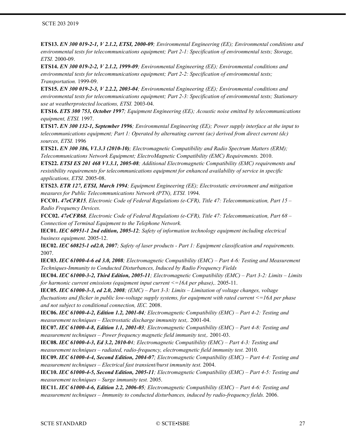**ETS13.** *EN 300 019-2-1, V 2.1.2, ETSI, 2000-09; Environmental Engineering (EE); Environmental conditions and environmental tests for telecommunications equipment; Part 2-1: Specification of environmental tests; Storage, ETSI.* 2000-09.

<span id="page-26-0"></span>**ETS14.** *EN 300 019-2-2, V 2.1.2, 1999-09; Environmental Engineering (EE); Environmental conditions and environmental tests for telecommunications equipment; Part 2-2: Specification of environmental tests; Transportation.* 1999-09.

**ETS15.** *EN 300 019-2-3, V 2.2.2, 2003-04; Environmental Engineering (EE); Environmental conditions and environmental tests for telecommunications equipment; Part 2-3: Specification of environmental tests; Stationary use at weatherprotected locations, ETSI.* 2003-04.

**ETS16.** *ETS 300 753, October 1997; Equipment Engineering (EE); Acoustic noise emitted by telecommunications equipment, ETSI.* 1997.

**ETS17.** *EN 300 132-1, September 1996; Environmental Engineering (EE); Power supply interface at the input to telecommunications equipment; Part 1: Operated by alternating current (ac) derived from direct current (dc) sources, ETSI.* 1996

**ETS21.** *EN 300 386, V1.3.3 (2010-10); Electromagnetic Compatibility and Radio Spectrum Matters (ERM); Telecommunications Network Equipment; ElectroMagnetic Compatibility (EMC) Requirements.* 2010.

**ETS22.** *ETSI ES 201 468 V1.3.1, 2005-08; Additional Electromagnetic Compatibility (EMC) requirements and resistibility requirements for telecommunications equipment for enhanced availability of service in specific applications, ETSI.* 2005-08.

**ETS23.** *ETR 127, ETSI, March 1994; Equipment Engineering (EE); Electrostatic environment and mitigation measures for Public Telecommunications Network (PTN), ETSI.* 1994.

**FCC01.** *47eCFR15, Electronic Code of Federal Regulations (e-CFR), Title 47: Telecommunication, Part 15 – Radio Frequency Devices.*

**FCC02.** *47eCFR68, Electronic Code of Federal Regulations (e-CFR), Title 47: Telecommunication, Part 68 – Connection of Terminal Equipment to the Telephone Network.*

**IEC01.** *IEC 60951-1 2nd edition, 2005-12; Safety of information technology equipment including electrical business equipment.* 2005-12.

**IEC02.** *IEC 60825-1 ed2.0, 2007; Safety of laser products - Part 1: Equipment classification and requirements.* 2007.

<span id="page-26-3"></span>**IEC03.** *IEC 61000-4-6 ed 3.0, 2008; Electromagnetic Compatibility (EMC) – Part 4-6: Testing and Measurement Techniques-Immunity to Conducted Disturbances, Induced by Radio Frequency Fields*

**IEC04.** *IEC 61000-3-2, Third Edition, 2005-11; Electromagnetic Compatibility (EMC) – Part 3-2: Limits – Limits for harmonic current emissions (equipment input current <=16A per phase),.* 2005-11.

**IEC05.** *IEC 61000-3-3, ed 2.0, 2008; (EMC) – Part 3-3: Limits – Limitation of voltage changes, voltage fluctuations and flicker in public low-voltage supply systems, for equipment with rated current <=16A per phase and not subject to conditional connection, IEC.* 2008.

<span id="page-26-2"></span>**IEC06.** *IEC 61000-4-2, Edition 1.2, 2001-04; Electromagnetic Compatibility (EMC) – Part 4-2: Testing and measurement techniques – Electrostatic discharge immunity test,.* 2001-04.

**IEC07.** *IEC 61000-4-8, Edition 1.1, 2001-03; Electromagnetic Compatibility (EMC) – Part 4-8: Testing and measurement techniques – Power frequency magnetic field immunity test,.* 2001-03.

<span id="page-26-1"></span>**IEC08.** *IEC 61000-4-3, Ed 3.2, 2010-04; Electromagnetic Compatibility (EMC) – Part 4-3: Testing and measurement techniques – radiated, radio-frequency, electromagnetic field immunity test.* 2010.

<span id="page-26-4"></span>**IEC09.** *IEC 61000-4-4, Second Edition, 2004-07; Electromagnetic Compatibility (EMC) – Part 4-4: Testing and measurement techniques – Electrical fast transient/burst immunity test.* 2004.

<span id="page-26-5"></span>**IEC10.** *IEC 61000-4-5, Second Edition, 2005-11; Electromagnetic Compatibility (EMC) – Part 4-5: Testing and measurement techniques – Surge immunity test.* 2005.

**IEC11.** *IEC 61000-4-6, Edition 2.2, 2006-05; Electromagnetic Compatibility (EMC) – Part 4-6: Testing and measurement techniques – Immunity to conducted disturbances, induced by radio-frequency fields.* 2006.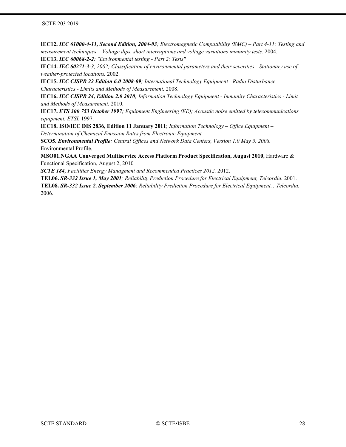#### SCTE 203 2019

<span id="page-27-1"></span>**IEC12.** *IEC 61000-4-11, Second Edition, 2004-03; Electromagnetic Compatibility (EMC) – Part 4-11: Testing and measurement techniques – Voltage dips, short interruptions and voltage variations immunity tests.* 2004.

**IEC13.** *IEC 60068-2-2: "Environmental testing - Part 2: Tests"*

**IEC14.** *IEC 60271-3-3, 2002; Classification of environmental parameters and their severities - Stationary use of weather-protected locations.* 2002.

**IEC15.** *IEC CISPR 22 Edition 6.0 2008-09; International Technology Equipment - Radio Disturbance Characteristics - Limits and Methods of Measurement.* 2008.

**IEC16.** *IEC CISPR 24, Edition 2.0 2010; Information Technology Equipment - Immunity Characteristics - Limit and Methods of Measurement.* 2010.

**IEC17.** *ETS 300 753 October 1997; Equipment Engineering (EE); Acoustic noise emitted by telecommunications equipment. ETSI.* 1997.

**IEC18. ISO/IEC DIS 2836, Edition 11 January 2011**; *Information Technology – Office Equipment –*

*Determination of Chemical Emission Rates from Electronic Equipment*

**SCO5.** *Environmental Profile: Central Offices and Network Data Centers, Version 1.0 May 5, 2008.* Environmental Profile.

<span id="page-27-0"></span>**MSO01.NGAA Converged Multiservice Access Platform Product Specification, August 2010**, Hardware & Functional Specification, August 2, 2010

*SCTE 184, Facilities Energy Managment and Recommended Practices 2012.* 2012.

**TEL06.** *SR-332 Issue 1, May 2001; Reliability Prediction Procedure for Electrical Equipment, Telcordia.* 2001. **TEL08.** *SR-332 Issue 2, September 2006; Reliability Prediction Procedure for Electrical Equipment, , Telcordia.* 2006.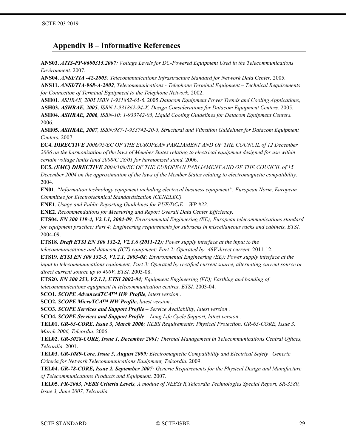# <span id="page-28-0"></span>**Appendix B – Informative References**

**ANS03.** *ATIS-PP-0600315.2007: Voltage Levels for DC-Powered Equipment Used in the Telecommunications Environment.* 2007.

**ANS04.** *ANSI/TIA -42-2005: Telecommunications Infrastructure Standard for Network Data Center.* 2005. **ANS11.** *ANSI/TIA-968-A-2002, Telecommunications - Telephone Terminal Equipment – Technical Requirements for Connection of Terminal Equipment to the Telephone Network.* 2002.

**ASH01**. *ASHRAE, 2005 ISBN 1-931862-65-6.* 2005.*Datacom Equipment Power Trends and Cooling Applications,*  **ASH03.** *ASHRAE, 2005, ISBN 1-931862-94-X. Design Considerations for Datacom Equipment Centers.* 2005. **ASH04.** *ASHRAE, 2006, ISBN-10: 1-933742-05, Liquid Cooling Guidelines for Datacom Equipment Centers.* 2006.

**ASH05.** *ASHRAE, 2007, ISBN:987-1-933742-20-5, Structural and Vibration Guidelines for Datacom Equipment Centers.* 2007.

**EC4.** *DIRECTIVE 2006/95/EC OF THE EUROPEAN PARLIAMENT AND OF THE COUNCIL of 12 December 2006 on the harmonization of the laws of Member States relating to electrical equipment designed for use within certain voltage limits (and 2008/C 28/01 for harmonized stand.* 2006.

**EC5.** *(EMC) DIRECTIVE 2004/108/EC OF THE EUROPEAN PARLIAMENT AND OF THE COUNCIL of 15 December 2004 on the approximation of the laws of the Member States relating to electromagnetic compatibility.* 2004.

**EN01**. *"Information technology equipment including electrical business equipment", European Norm, European Committee for Electrotechnical Standardsization (CENELEC).*

**ENE1**. *Usage and Public Reporting Guidelines for PUE/DCiE – WP #22.*

**ENE2.** *Recommendations for Measuring and Report Overall Data Center Efficiency.*

**ETS04.** *EN 300 119-4, V2.1.1, 2004-09; Environmental Engineering (EE); European telecommunications standard for equipment practice; Part 4: Engineering requirements for subracks in miscellaneous racks and cabinets, ETSI.* 2004-09.

**ETS18.** *Draft ETSI EN 300 132-2, V2.3.6 (2011-12); Power supply interface at the input to the* 

*telecommunications and datacom (ICT) equipment; Part 2: Operated by -48V direct current.* 2011-12.

**ETS19.** *ETSI EN 300 132-3, V1.2.1, 2003-08; Environmental Engineering (EE); Power supply interface at the* 

*input to telecommunications equipment; Part 3: Operated by rectified current source, alternating current source or direct current source up to 400V, ETSI.* 2003-08.

**ETS20.** *EN 300 253, V2.1.1, ETSI 2002-04; Equipment Engineering (EE); Earthing and bonding of* 

*telecommunications equipment in telecommunication centres, ETSI.* 2003-04.

**SCO1.** *SCOPE AdvancedTCA™ HW Profile, latest version .*

**SCO2.** *SCOPE MicroTCA™ HW Profile, latest version .*

**SCO3.** *SCOPE Services and Support Profile – Service Availability, latest version .*

**SCO4.** *SCOPE Services and Support Profile – Long Life Cycle Support, latest version .*

<span id="page-28-1"></span>**TEL01.** *GR-63-CORE, Issue 3, March 2006; NEBS Requirements: Physical Protection, GR-63-CORE, Issue 3, March 2006, Telcordia.* 2006.

**TEL02.** *GR-3028-CORE, Issue 1, December 2001; Thermal Management in Telecommunications Central Offices, Telcordia.* 2001.

**TEL03.** *GR-1089-Core, Issue 5, August 2009; Electromagnetic Compatibility and Electrical Safety –Generic Criteria for Network Telecommunications Equipment, Telcordia.* 2009.

**TEL04.** *GR-78-CORE, Issue 2, September 2007; Generic Requirements for the Physical Design and Manufacture of Telecommunications Products and Equipment.* 2007.

**TEL05.** *FR-2063, NEBS Criteria Levels, A module of NEBSFR,Telcordia Technologies Special Report, SR-3580, Issue 3, June 2007, Telcordia.*